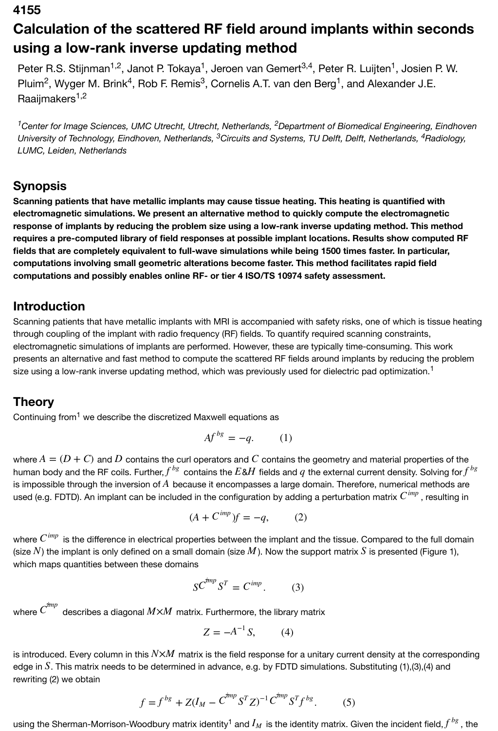#### **4155**

# **Calculation of the scattered RF field around implants within seconds using a low-rank inverse updating method**

Peter R.S. Stijnman<sup>1,2</sup>, Janot P. Tokaya<sup>1</sup>, Jeroen van Gemert<sup>3,4</sup>, Peter R. Luijten<sup>1</sup>, Josien P. W. Pluim<sup>2</sup>, Wyger M. Brink<sup>4</sup>, Rob F. Remis<sup>3</sup>, Cornelis A.T. van den Berg<sup>1</sup>, and Alexander J.E. Raaijmakers<sup>1,2</sup>

<sup>1</sup> Center for Image Sciences, UMC Utrecht, Utrecht, Netherlands, <sup>2</sup> Department of Biomedical Engineering, Eindhoven University of Technology, Eindhoven, Netherlands, <sup>3</sup>Circuits and Systems, TU Delft, Delft, Netherlands, <sup>4</sup>Radiology, *LUMC, Leiden, Netherlands*

#### **Synopsis**

**Scanning patients that have metallic implants may cause tissue heating. This heating is quantified with electromagnetic simulations. We present an alternative method to quickly compute the electromagnetic response of implants by reducing the problem size using a low-rank inverse updating method. This method requires a pre-computed library of field responses at possible implant locations. Results show computed RF fields that are completely equivalent to full-wave simulations while being 1500 times faster. In particular, computations involving small geometric alterations become faster. This method facilitates rapid field computations and possibly enables online RF- or tier 4 ISO/TS 10974 safety assessment.**

#### **Introduction**

Scanning patients that have metallic implants with MRI is accompanied with safety risks, one of which is tissue heating through coupling of the implant with radio frequency (RF) fields. To quantify required scanning constraints, electromagnetic simulations of implants are performed. However, these are typically time-consuming. This work presents an alternative and fast method to compute the scattered RF fields around implants by reducing the problem size using a low-rank inverse updating method, which was previously used for dielectric pad optimization.<sup>1</sup>

## **Theory**

Continuing from<sup>1</sup> we describe the discretized Maxwell equations as

$$
Af^{bg} = -q. \tag{1}
$$

where  $A = (D + C)$  and  $D$  contains the curl operators and  $C$  contains the geometry and material properties of the human body and the RF coils. Further, $f^{bg}$  contains the  $E$ & $H$  fields and  $q$  the external current density. Solving for $f^{\,bg}$ is impossible through the inversion of  $A\,$  because it encompasses a large domain. Therefore, numerical methods are used (e.g. FDTD). An implant can be included in the configuration by adding a perturbation matrix  $C^\textit{imp}$  , resulting in

$$
(A + C^{imp})f = -q, \qquad (2)
$$

where  $C^\textit{imp}$  is the difference in electrical properties between the implant and the tissue. Compared to the full domain (size  $N$ ) the implant is only defined on a small domain (size  $M$ ). Now the support matrix  $S$  is presented (Figure 1), which maps quantities between these domains

$$
SC^{imp}S^T = C^{imp}.
$$
 (3)

where  $C^{imp}$  describes a diagonal  $M{\times}M$  matrix. Furthermore, the library matrix

$$
Z = -A^{-1}S, \qquad (4)
$$

is introduced. Every column in this  $N\!\!\times\!\!M$  matrix is the field response for a unitary current density at the corresponding edge in  $S$ . This matrix needs to be determined in advance, e.g. by FDTD simulations. Substituting (1),(3),(4) and rewriting (2) we obtain

$$
f = f^{bg} + Z(I_M - C^{tmp} S^T Z)^{-1} C^{tmp} S^T f^{bg}.
$$
 (5)

using the Sherman-Morrison-Woodbury matrix identity<sup>1</sup> and  $I_M$  is the identity matrix. Given the incident field, $f^{\,bg}$  , the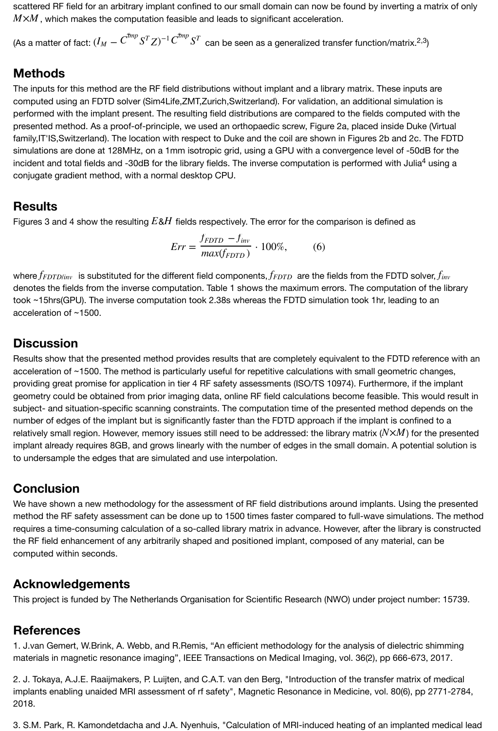scattered RF field for an arbitrary implant confined to our small domain can now be found by inverting a matrix of only  $M\!\!\times\!\!M$  , which makes the computation feasible and leads to significant acceleration.

(As a matter of fact:  $(I_M - C^{imp}S^TZ)^{-1}C^{imp}S^T$  can be seen as a generalized transfer function/matrix.<sup>2,3</sup>)

#### **Methods**

The inputs for this method are the RF field distributions without implant and a library matrix. These inputs are computed using an FDTD solver (Sim4Life,ZMT,Zurich,Switzerland). For validation, an additional simulation is performed with the implant present. The resulting field distributions are compared to the fields computed with the presented method. As a proof-of-principle, we used an orthopaedic screw, Figure 2a, placed inside Duke (Virtual family,IT'IS,Switzerland). The location with respect to Duke and the coil are shown in Figures 2b and 2c. The FDTD simulations are done at 128MHz, on a 1mm isotropic grid, using a GPU with a convergence level of -50dB for the incident and total fields and -30dB for the library fields. The inverse computation is performed with Julia<sup>4</sup> using a conjugate gradient method, with a normal desktop CPU.

## **Results**

Figures 3 and 4 show the resulting  $E$ & $H$  fields respectively. The error for the comparison is defined as

$$
Err = \frac{f_{FDD} - f_{inv}}{max(f_{FDD})} \cdot 100\%,\tag{6}
$$

where $f_{FDD/inv}$  is substituted for the different field components, $f_{FDDD}$  are the fields from the FDTD solver, $f_{inv}$ denotes the fields from the inverse computation. Table 1 shows the maximum errors. The computation of the library took ~15hrs(GPU). The inverse computation took 2.38s whereas the FDTD simulation took 1hr, leading to an acceleration of ~1500.

## **Discussion**

Results show that the presented method provides results that are completely equivalent to the FDTD reference with an acceleration of ~1500. The method is particularly useful for repetitive calculations with small geometric changes, providing great promise for application in tier 4 RF safety assessments (ISO/TS 10974). Furthermore, if the implant geometry could be obtained from prior imaging data, online RF field calculations become feasible. This would result in subject- and situation-specific scanning constraints. The computation time of the presented method depends on the number of edges of the implant but is significantly faster than the FDTD approach if the implant is confined to a relatively small region. However, memory issues still need to be addressed: the library matrix  $(N{\times}M)$  for the presented implant already requires 8GB, and grows linearly with the number of edges in the small domain. A potential solution is to undersample the edges that are simulated and use interpolation.

## **Conclusion**

We have shown a new methodology for the assessment of RF field distributions around implants. Using the presented method the RF safety assessment can be done up to 1500 times faster compared to full-wave simulations. The method requires a time-consuming calculation of a so-called library matrix in advance. However, after the library is constructed the RF field enhancement of any arbitrarily shaped and positioned implant, composed of any material, can be computed within seconds.

## **Acknowledgements**

This project is funded by The Netherlands Organisation for Scientific Research (NWO) under project number: 15739.

## **References**

1. J.van Gemert, W.Brink, A. Webb, and R.Remis, "An efficient methodology for the analysis of dielectric shimming materials in magnetic resonance imaging", IEEE Transactions on Medical Imaging, vol. 36(2), pp 666-673, 2017.

2. J. Tokaya, A.J.E. Raaijmakers, P. Luijten, and C.A.T. van den Berg, "Introduction of the transfer matrix of medical implants enabling unaided MRI assessment of rf safety", Magnetic Resonance in Medicine, vol. 80(6), pp 2771-2784, 2018.

3. S.M. Park, R. Kamondetdacha and J.A. Nyenhuis, "Calculation of MRI-induced heating of an implanted medical lead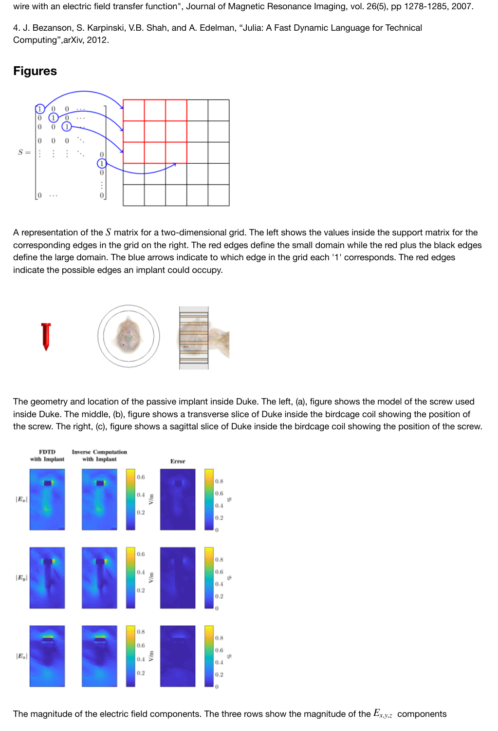4. J. Bezanson, S. Karpinski, V.B. Shah, and A. Edelman, "Julia: A Fast Dynamic Language for Technical Computing",arXiv, 2012.

## **Figures**



A representation of the  $S$  matrix for a two-dimensional grid. The left shows the values inside the support matrix for the corresponding edges in the grid on the right. The red edges define the small domain while the red plus the black edges define the large domain. The blue arrows indicate to which edge in the grid each '1' corresponds. The red edges indicate the possible edges an implant could occupy.



[The geometry and location of the passive implant inside](https://index.mirasmart.com/ISMRM2019/PDFfiles/images/4087/ISMRM2019-004087_Fig2.PNG) Duke. The left, (a), figure shows the model of the screw used inside Duke. The middle, (b), figure shows a transverse slice of Duke inside the birdcage coil showing the position of the screw. The right, (c), figure shows a sagittal slice of Duke inside the birdcage coil showing the position of the screw.



[The magnitude of the electric field components. The thre](https://index.mirasmart.com/ISMRM2019/PDFfiles/images/4087/ISMRM2019-004087_Fig3.PNG)e rows show the magnitude of the  $E_{x,y,z}\,$  components